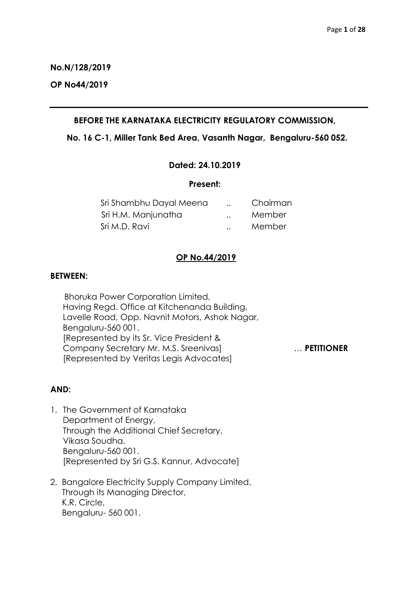**No.N/128/2019**

**OP No44/2019**

# **BEFORE THE KARNATAKA ELECTRICITY REGULATORY COMMISSION,**

## **No. 16 C-1, Miller Tank Bed Area, Vasanth Nagar, Bengaluru-560 052.**

## **Dated: 24.10.2019**

### **Present:**

| Sri Shambhu Dayal Meena | $\ddotsc$            | Chairman |
|-------------------------|----------------------|----------|
| Sri H.M. Manjunatha     | $\ddot{\phantom{a}}$ | Member   |
| Sri M.D. Ravi           | $\ddotsc$            | Member   |

# **OP No.44/2019**

## **BETWEEN:**

 Bhoruka Power Corporation Limited, Having Regd. Office at Kitchenanda Building, Lavelle Road, Opp. Navnit Motors, Ashok Nagar, Bengaluru-560 001. [Represented by its Sr. Vice President & Company Secretary Mr. M.S. Sreenivas] … **PETITIONER** [Represented by Veritas Legis Advocates]

# **AND:**

- 1. The Government of Karnataka Department of Energy, Through the Additional Chief Secretary, Vikasa Soudha, Bengaluru-560 001. [Represented by Sri G.S. Kannur, Advocate]
- 2. Bangalore Electricity Supply Company Limited, Through its Managing Director, K.R. Circle, Bengaluru- 560 001.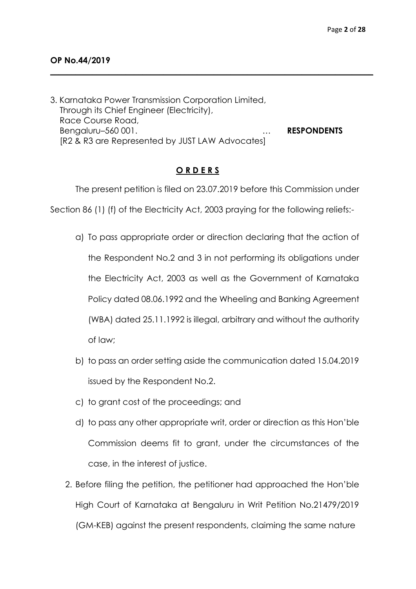3. Karnataka Power Transmission Corporation Limited, Through its Chief Engineer (Electricity), Race Course Road, Bengaluru–560 001. … **RESPONDENTS** [R2 & R3 are Represented by JUST LAW Advocates]

**\_\_\_\_\_\_\_\_\_\_\_\_\_\_\_\_\_\_\_\_\_\_\_\_\_\_\_\_\_\_\_\_\_\_\_\_\_\_\_\_\_\_\_\_\_\_\_\_\_\_\_\_\_\_\_\_\_\_\_\_\_\_\_\_\_\_\_\_\_\_\_\_\_\_\_\_\_**

# **O R D E R S**

The present petition is filed on 23.07.2019 before this Commission under

Section 86 (1) (f) of the Electricity Act, 2003 praying for the following reliefs:-

- a) To pass appropriate order or direction declaring that the action of the Respondent No.2 and 3 in not performing its obligations under the Electricity Act, 2003 as well as the Government of Karnataka Policy dated 08.06.1992 and the Wheeling and Banking Agreement (WBA) dated 25.11.1992 is illegal, arbitrary and without the authority of law;
- b) to pass an order setting aside the communication dated 15.04.2019 issued by the Respondent No.2.
- c) to grant cost of the proceedings; and
- d) to pass any other appropriate writ, order or direction as this Hon'ble Commission deems fit to grant, under the circumstances of the case, in the interest of justice.
- 2. Before filing the petition, the petitioner had approached the Hon'ble High Court of Karnataka at Bengaluru in Writ Petition No.21479/2019 (GM-KEB) against the present respondents, claiming the same nature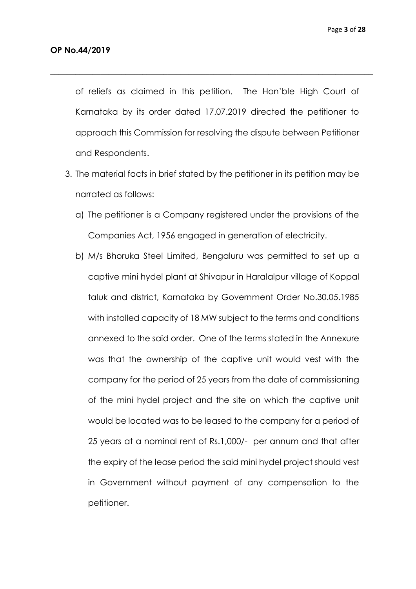of reliefs as claimed in this petition. The Hon'ble High Court of Karnataka by its order dated 17.07.2019 directed the petitioner to approach this Commission for resolving the dispute between Petitioner and Respondents.

\_\_\_\_\_\_\_\_\_\_\_\_\_\_\_\_\_\_\_\_\_\_\_\_\_\_\_\_\_\_\_\_\_\_\_\_\_\_\_\_\_\_\_\_\_\_\_\_\_\_\_\_\_\_\_\_\_\_\_\_\_\_\_\_\_\_\_\_\_\_\_\_\_\_\_\_\_

- 3. The material facts in brief stated by the petitioner in its petition may be narrated as follows:
	- a) The petitioner is a Company registered under the provisions of the Companies Act, 1956 engaged in generation of electricity.
	- b) M/s Bhoruka Steel Limited, Bengaluru was permitted to set up a captive mini hydel plant at Shivapur in Haralalpur village of Koppal taluk and district, Karnataka by Government Order No.30.05.1985 with installed capacity of 18 MW subject to the terms and conditions annexed to the said order. One of the terms stated in the Annexure was that the ownership of the captive unit would vest with the company for the period of 25 years from the date of commissioning of the mini hydel project and the site on which the captive unit would be located was to be leased to the company for a period of 25 years at a nominal rent of Rs.1,000/- per annum and that after the expiry of the lease period the said mini hydel project should vest in Government without payment of any compensation to the petitioner.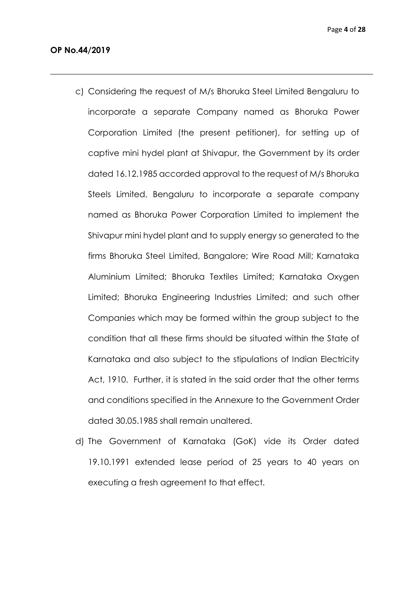c) Considering the request of M/s Bhoruka Steel Limited Bengaluru to incorporate a separate Company named as Bhoruka Power Corporation Limited (the present petitioner), for setting up of captive mini hydel plant at Shivapur, the Government by its order dated 16.12.1985 accorded approval to the request of M/s Bhoruka Steels Limited, Bengaluru to incorporate a separate company named as Bhoruka Power Corporation Limited to implement the Shivapur mini hydel plant and to supply energy so generated to the firms Bhoruka Steel Limited, Bangalore; Wire Road Mill; Karnataka Aluminium Limited; Bhoruka Textiles Limited; Karnataka Oxygen Limited; Bhoruka Engineering Industries Limited; and such other Companies which may be formed within the group subject to the condition that all these firms should be situated within the State of Karnataka and also subject to the stipulations of Indian Electricity Act, 1910. Further, it is stated in the said order that the other terms and conditions specified in the Annexure to the Government Order dated 30.05.1985 shall remain unaltered.

\_\_\_\_\_\_\_\_\_\_\_\_\_\_\_\_\_\_\_\_\_\_\_\_\_\_\_\_\_\_\_\_\_\_\_\_\_\_\_\_\_\_\_\_\_\_\_\_\_\_\_\_\_\_\_\_\_\_\_\_\_\_\_\_\_\_\_\_\_\_\_\_\_\_\_\_\_

d) The Government of Karnataka (GoK) vide its Order dated 19.10.1991 extended lease period of 25 years to 40 years on executing a fresh agreement to that effect.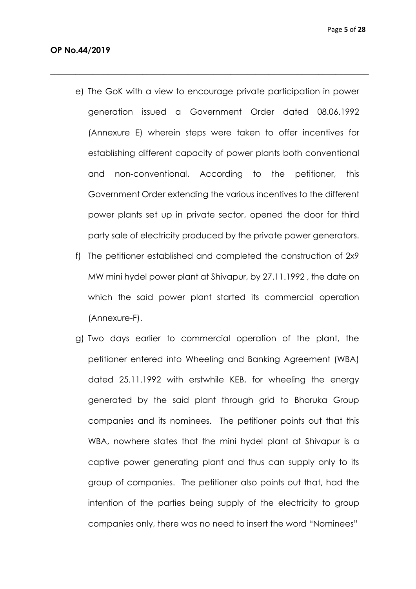e) The GoK with a view to encourage private participation in power generation issued a Government Order dated 08.06.1992 (Annexure E) wherein steps were taken to offer incentives for establishing different capacity of power plants both conventional and non-conventional. According to the petitioner, this Government Order extending the various incentives to the different power plants set up in private sector, opened the door for third party sale of electricity produced by the private power generators.

\_\_\_\_\_\_\_\_\_\_\_\_\_\_\_\_\_\_\_\_\_\_\_\_\_\_\_\_\_\_\_\_\_\_\_\_\_\_\_\_\_\_\_\_\_\_\_\_\_\_\_\_\_\_\_\_\_\_\_\_\_\_\_\_\_\_\_\_\_\_\_\_\_\_\_\_

- f) The petitioner established and completed the construction of 2x9 MW mini hydel power plant at Shivapur, by 27.11.1992 , the date on which the said power plant started its commercial operation (Annexure-F).
- g) Two days earlier to commercial operation of the plant, the petitioner entered into Wheeling and Banking Agreement (WBA) dated 25.11.1992 with erstwhile KEB, for wheeling the energy generated by the said plant through grid to Bhoruka Group companies and its nominees. The petitioner points out that this WBA, nowhere states that the mini hydel plant at Shivapur is a captive power generating plant and thus can supply only to its group of companies. The petitioner also points out that, had the intention of the parties being supply of the electricity to group companies only, there was no need to insert the word "Nominees"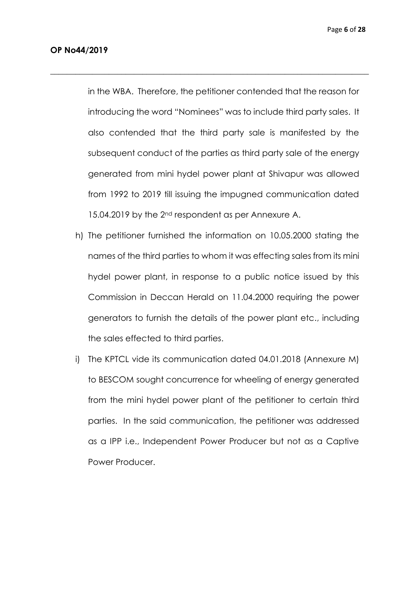in the WBA. Therefore, the petitioner contended that the reason for introducing the word "Nominees" was to include third party sales. It also contended that the third party sale is manifested by the subsequent conduct of the parties as third party sale of the energy generated from mini hydel power plant at Shivapur was allowed from 1992 to 2019 till issuing the impugned communication dated 15.04.2019 by the 2<sup>nd</sup> respondent as per Annexure A.

\_\_\_\_\_\_\_\_\_\_\_\_\_\_\_\_\_\_\_\_\_\_\_\_\_\_\_\_\_\_\_\_\_\_\_\_\_\_\_\_\_\_\_\_\_\_\_\_\_\_\_\_\_\_\_\_\_\_\_\_\_\_\_\_\_\_\_\_\_\_\_\_\_\_\_\_

- h) The petitioner furnished the information on 10.05.2000 stating the names of the third parties to whom it was effecting sales from its mini hydel power plant, in response to a public notice issued by this Commission in Deccan Herald on 11.04.2000 requiring the power generators to furnish the details of the power plant etc., including the sales effected to third parties.
- i) The KPTCL vide its communication dated 04.01.2018 (Annexure M) to BESCOM sought concurrence for wheeling of energy generated from the mini hydel power plant of the petitioner to certain third parties. In the said communication, the petitioner was addressed as a IPP i.e., Independent Power Producer but not as a Captive Power Producer.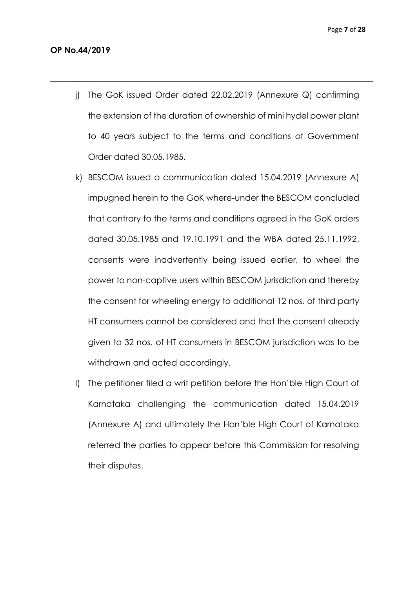j) The GoK issued Order dated 22.02.2019 (Annexure Q) confirming the extension of the duration of ownership of mini hydel power plant to 40 years subject to the terms and conditions of Government Order dated 30.05.1985.

 $\_$  , and the set of the set of the set of the set of the set of the set of the set of the set of the set of the set of the set of the set of the set of the set of the set of the set of the set of the set of the set of th

- k) BESCOM issued a communication dated 15.04.2019 (Annexure A) impugned herein to the GoK where-under the BESCOM concluded that contrary to the terms and conditions agreed in the GoK orders dated 30.05.1985 and 19.10.1991 and the WBA dated 25.11.1992, consents were inadvertently being issued earlier, to wheel the power to non-captive users within BESCOM jurisdiction and thereby the consent for wheeling energy to additional 12 nos. of third party HT consumers cannot be considered and that the consent already given to 32 nos. of HT consumers in BESCOM jurisdiction was to be withdrawn and acted accordingly.
- l) The petitioner filed a writ petition before the Hon'ble High Court of Karnataka challenging the communication dated 15.04.2019 (Annexure A) and ultimately the Hon'ble High Court of Karnataka referred the parties to appear before this Commission for resolving their disputes.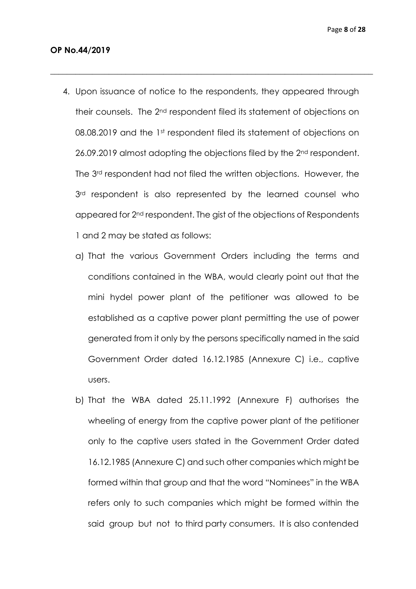4. Upon issuance of notice to the respondents, they appeared through their counsels. The 2nd respondent filed its statement of objections on 08.08.2019 and the 1st respondent filed its statement of objections on 26.09.2019 almost adopting the objections filed by the 2nd respondent. The 3rd respondent had not filed the written objections. However, the  $3<sup>rd</sup>$  respondent is also represented by the learned counsel who appeared for 2nd respondent. The gist of the objections of Respondents 1 and 2 may be stated as follows:

\_\_\_\_\_\_\_\_\_\_\_\_\_\_\_\_\_\_\_\_\_\_\_\_\_\_\_\_\_\_\_\_\_\_\_\_\_\_\_\_\_\_\_\_\_\_\_\_\_\_\_\_\_\_\_\_\_\_\_\_\_\_\_\_\_\_\_\_\_\_\_\_\_\_\_\_\_

- a) That the various Government Orders including the terms and conditions contained in the WBA, would clearly point out that the mini hydel power plant of the petitioner was allowed to be established as a captive power plant permitting the use of power generated from it only by the persons specifically named in the said Government Order dated 16.12.1985 (Annexure C) i.e., captive users.
- b) That the WBA dated 25.11.1992 (Annexure F) authorises the wheeling of energy from the captive power plant of the petitioner only to the captive users stated in the Government Order dated 16.12.1985 (Annexure C) and such other companies which might be formed within that group and that the word "Nominees" in the WBA refers only to such companies which might be formed within the said group but not to third party consumers. It is also contended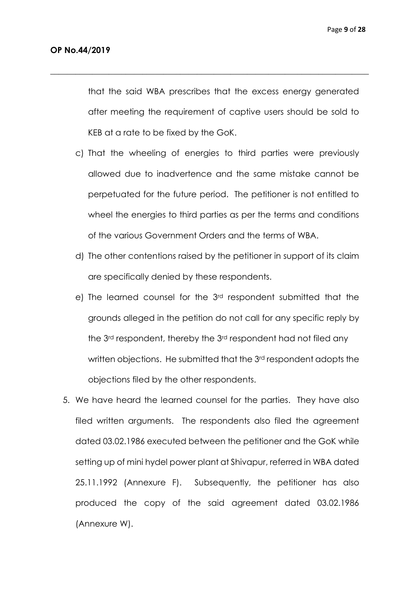that the said WBA prescribes that the excess energy generated after meeting the requirement of captive users should be sold to KEB at a rate to be fixed by the GoK.

\_\_\_\_\_\_\_\_\_\_\_\_\_\_\_\_\_\_\_\_\_\_\_\_\_\_\_\_\_\_\_\_\_\_\_\_\_\_\_\_\_\_\_\_\_\_\_\_\_\_\_\_\_\_\_\_\_\_\_\_\_\_\_\_\_\_\_\_\_\_\_\_\_\_\_\_

- c) That the wheeling of energies to third parties were previously allowed due to inadvertence and the same mistake cannot be perpetuated for the future period. The petitioner is not entitled to wheel the energies to third parties as per the terms and conditions of the various Government Orders and the terms of WBA.
- d) The other contentions raised by the petitioner in support of its claim are specifically denied by these respondents.
- e) The learned counsel for the 3rd respondent submitted that the grounds alleged in the petition do not call for any specific reply by the 3rd respondent, thereby the 3rd respondent had not filed any written objections. He submitted that the 3rd respondent adopts the objections filed by the other respondents.
- 5. We have heard the learned counsel for the parties. They have also filed written arguments. The respondents also filed the agreement dated 03.02.1986 executed between the petitioner and the GoK while setting up of mini hydel power plant at Shivapur, referred in WBA dated 25.11.1992 (Annexure F). Subsequently, the petitioner has also produced the copy of the said agreement dated 03.02.1986 (Annexure W).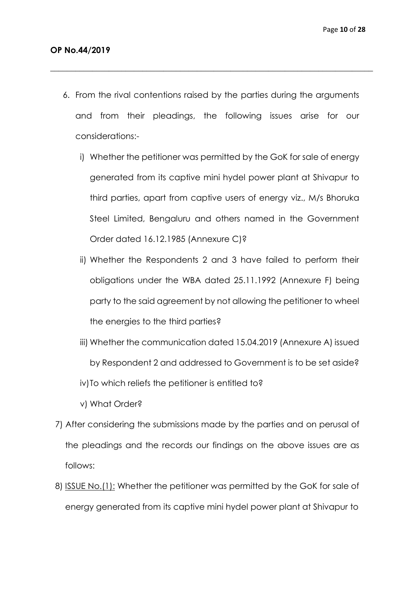6. From the rival contentions raised by the parties during the arguments and from their pleadings, the following issues arise for our considerations:-

 $\_$  , and the set of the set of the set of the set of the set of the set of the set of the set of the set of the set of the set of the set of the set of the set of the set of the set of the set of the set of the set of th

- i) Whether the petitioner was permitted by the GoK for sale of energy generated from its captive mini hydel power plant at Shivapur to third parties, apart from captive users of energy viz., M/s Bhoruka Steel Limited, Bengaluru and others named in the Government Order dated 16.12.1985 (Annexure C)?
- ii) Whether the Respondents 2 and 3 have failed to perform their obligations under the WBA dated 25.11.1992 (Annexure F) being party to the said agreement by not allowing the petitioner to wheel the energies to the third parties?
- iii) Whether the communication dated 15.04.2019 (Annexure A) issued by Respondent 2 and addressed to Government is to be set aside? iv)To which reliefs the petitioner is entitled to?
- v) What Order?
- 7) After considering the submissions made by the parties and on perusal of the pleadings and the records our findings on the above issues are as follows:
- 8) ISSUE No.(1): Whether the petitioner was permitted by the GoK for sale of energy generated from its captive mini hydel power plant at Shivapur to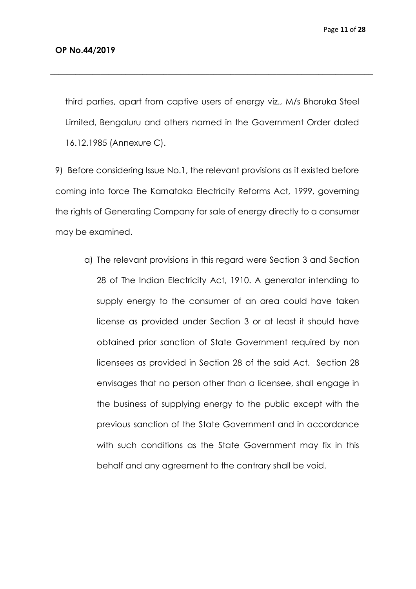third parties, apart from captive users of energy viz., M/s Bhoruka Steel Limited, Bengaluru and others named in the Government Order dated 16.12.1985 (Annexure C).

\_\_\_\_\_\_\_\_\_\_\_\_\_\_\_\_\_\_\_\_\_\_\_\_\_\_\_\_\_\_\_\_\_\_\_\_\_\_\_\_\_\_\_\_\_\_\_\_\_\_\_\_\_\_\_\_\_\_\_\_\_\_\_\_\_\_\_\_\_\_\_\_\_\_\_\_\_

9) Before considering Issue No.1, the relevant provisions as it existed before coming into force The Karnataka Electricity Reforms Act, 1999, governing the rights of Generating Company for sale of energy directly to a consumer may be examined.

a) The relevant provisions in this regard were Section 3 and Section 28 of The Indian Electricity Act, 1910. A generator intending to supply energy to the consumer of an area could have taken license as provided under Section 3 or at least it should have obtained prior sanction of State Government required by non licensees as provided in Section 28 of the said Act. Section 28 envisages that no person other than a licensee, shall engage in the business of supplying energy to the public except with the previous sanction of the State Government and in accordance with such conditions as the State Government may fix in this behalf and any agreement to the contrary shall be void.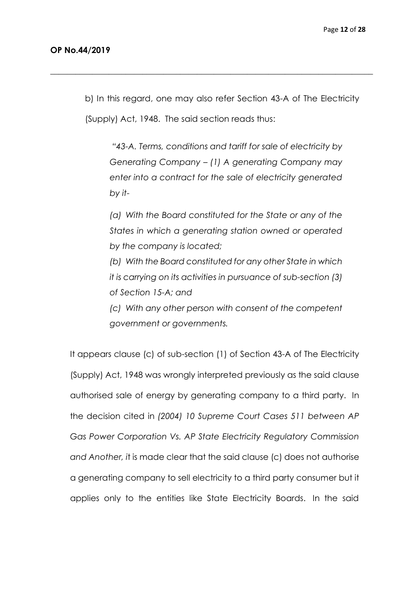b) In this regard, one may also refer Section 43-A of The Electricity (Supply) Act, 1948. The said section reads thus:

\_\_\_\_\_\_\_\_\_\_\_\_\_\_\_\_\_\_\_\_\_\_\_\_\_\_\_\_\_\_\_\_\_\_\_\_\_\_\_\_\_\_\_\_\_\_\_\_\_\_\_\_\_\_\_\_\_\_\_\_\_\_\_\_\_\_\_\_\_\_\_\_\_\_\_\_\_

*"43-A. Terms, conditions and tariff for sale of electricity by Generating Company – (1) A generating Company may enter into a contract for the sale of electricity generated by it-*

*(a) With the Board constituted for the State or any of the States in which a generating station owned or operated by the company is located;*

*(b) With the Board constituted for any other State in which it is carrying on its activities in pursuance of sub-section (3) of Section 15-A; and* 

*(c) With any other person with consent of the competent government or governments.*

It appears clause (c) of sub-section (1) of Section 43-A of The Electricity (Supply) Act, 1948 was wrongly interpreted previously as the said clause authorised sale of energy by generating company to a third party. In the decision cited in *(2004) 10 Supreme Court Cases 511 between AP Gas Power Corporation Vs. AP State Electricity Regulatory Commission and Another, i*t is made clear that the said clause (c) does not authorise a generating company to sell electricity to a third party consumer but it applies only to the entities like State Electricity Boards. In the said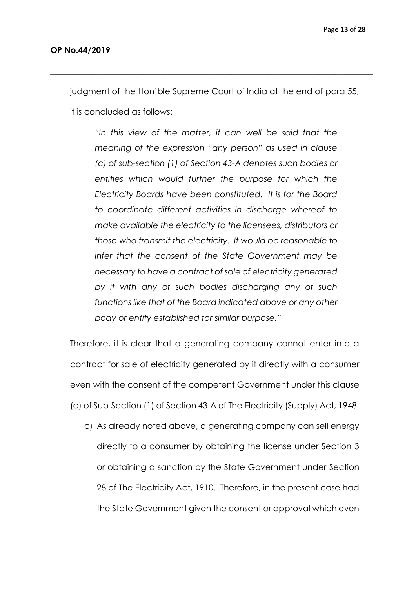judgment of the Hon'ble Supreme Court of India at the end of para 55,

\_\_\_\_\_\_\_\_\_\_\_\_\_\_\_\_\_\_\_\_\_\_\_\_\_\_\_\_\_\_\_\_\_\_\_\_\_\_\_\_\_\_\_\_\_\_\_\_\_\_\_\_\_\_\_\_\_\_\_\_\_\_\_\_\_\_\_\_\_\_\_\_\_\_\_\_\_

it is concluded as follows:

*"In this view of the matter, it can well be said that the meaning of the expression "any person" as used in clause (c) of sub-section (1) of Section 43-A denotes such bodies or entities which would further the purpose for which the Electricity Boards have been constituted. It is for the Board to coordinate different activities in discharge whereof to make available the electricity to the licensees, distributors or those who transmit the electricity. It would be reasonable to infer that the consent of the State Government may be necessary to have a contract of sale of electricity generated by it with any of such bodies discharging any of such functions like that of the Board indicated above or any other body or entity established for similar purpose."*

Therefore, it is clear that a generating company cannot enter into a contract for sale of electricity generated by it directly with a consumer even with the consent of the competent Government under this clause (c) of Sub-Section (1) of Section 43-A of The Electricity (Supply) Act, 1948.

c) As already noted above, a generating company can sell energy directly to a consumer by obtaining the license under Section 3 or obtaining a sanction by the State Government under Section 28 of The Electricity Act, 1910. Therefore, in the present case had the State Government given the consent or approval which even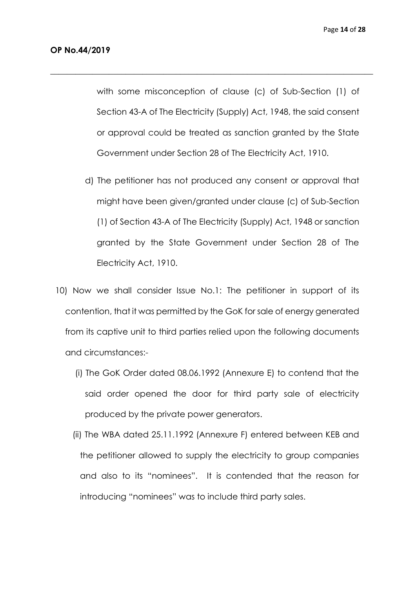with some misconception of clause (c) of Sub-Section (1) of Section 43-A of The Electricity (Supply) Act, 1948, the said consent or approval could be treated as sanction granted by the State Government under Section 28 of The Electricity Act, 1910.

\_\_\_\_\_\_\_\_\_\_\_\_\_\_\_\_\_\_\_\_\_\_\_\_\_\_\_\_\_\_\_\_\_\_\_\_\_\_\_\_\_\_\_\_\_\_\_\_\_\_\_\_\_\_\_\_\_\_\_\_\_\_\_\_\_\_\_\_\_\_\_\_\_\_\_\_\_

- d) The petitioner has not produced any consent or approval that might have been given/granted under clause (c) of Sub-Section (1) of Section 43-A of The Electricity (Supply) Act, 1948 or sanction granted by the State Government under Section 28 of The Electricity Act, 1910.
- 10) Now we shall consider Issue No.1: The petitioner in support of its contention, that it was permitted by the GoK for sale of energy generated from its captive unit to third parties relied upon the following documents and circumstances:-
	- (i) The GoK Order dated 08.06.1992 (Annexure E) to contend that the said order opened the door for third party sale of electricity produced by the private power generators.
	- (ii) The WBA dated 25.11.1992 (Annexure F) entered between KEB and the petitioner allowed to supply the electricity to group companies and also to its "nominees". It is contended that the reason for introducing "nominees" was to include third party sales.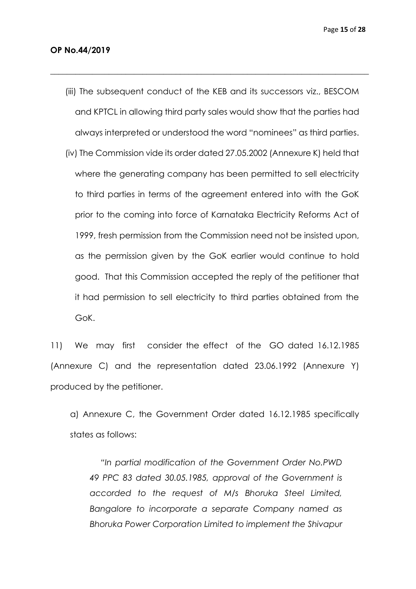(iii) The subsequent conduct of the KEB and its successors viz., BESCOM and KPTCL in allowing third party sales would show that the parties had always interpreted or understood the word "nominees" as third parties.

\_\_\_\_\_\_\_\_\_\_\_\_\_\_\_\_\_\_\_\_\_\_\_\_\_\_\_\_\_\_\_\_\_\_\_\_\_\_\_\_\_\_\_\_\_\_\_\_\_\_\_\_\_\_\_\_\_\_\_\_\_\_\_\_\_\_\_\_\_\_\_\_\_\_\_\_

(iv) The Commission vide its order dated 27.05.2002 (Annexure K) held that where the generating company has been permitted to sell electricity to third parties in terms of the agreement entered into with the GoK prior to the coming into force of Karnataka Electricity Reforms Act of 1999, fresh permission from the Commission need not be insisted upon, as the permission given by the GoK earlier would continue to hold good. That this Commission accepted the reply of the petitioner that it had permission to sell electricity to third parties obtained from the GoK.

11) We may first consider the effect of the GO dated 16.12.1985 (Annexure C) and the representation dated 23.06.1992 (Annexure Y) produced by the petitioner.

a) Annexure C, the Government Order dated 16.12.1985 specifically states as follows:

*"In partial modification of the Government Order No.PWD 49 PPC 83 dated 30.05.1985, approval of the Government is accorded to the request of M/s Bhoruka Steel Limited, Bangalore to incorporate a separate Company named as Bhoruka Power Corporation Limited to implement the Shivapur*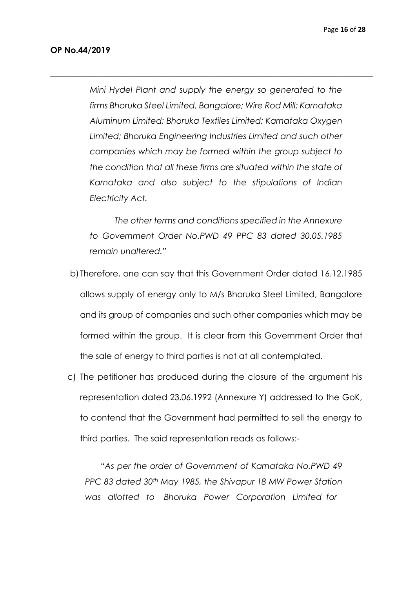*Mini Hydel Plant and supply the energy so generated to the firms Bhoruka Steel Limited, Bangalore; Wire Rod Mill; Karnataka Aluminum Limited; Bhoruka Textiles Limited; Karnataka Oxygen Limited; Bhoruka Engineering Industries Limited and such other companies which may be formed within the group subject to the condition that all these firms are situated within the state of Karnataka and also subject to the stipulations of Indian Electricity Act.*

\_\_\_\_\_\_\_\_\_\_\_\_\_\_\_\_\_\_\_\_\_\_\_\_\_\_\_\_\_\_\_\_\_\_\_\_\_\_\_\_\_\_\_\_\_\_\_\_\_\_\_\_\_\_\_\_\_\_\_\_\_\_\_\_\_\_\_\_\_\_\_\_\_\_\_\_\_

 *The other terms and conditions specified in the Annexure to Government Order No.PWD 49 PPC 83 dated 30.05.1985 remain unaltered."* 

- b) Therefore, one can say that this Government Order dated 16.12.1985 allows supply of energy only to M/s Bhoruka Steel Limited, Bangalore and its group of companies and such other companies which may be formed within the group. It is clear from this Government Order that the sale of energy to third parties is not at all contemplated.
- c) The petitioner has produced during the closure of the argument his representation dated 23.06.1992 (Annexure Y) addressed to the GoK, to contend that the Government had permitted to sell the energy to third parties. The said representation reads as follows:-

*"As per the order of Government of Karnataka No.PWD 49 PPC 83 dated 30th May 1985, the Shivapur 18 MW Power Station was allotted to Bhoruka Power Corporation Limited for*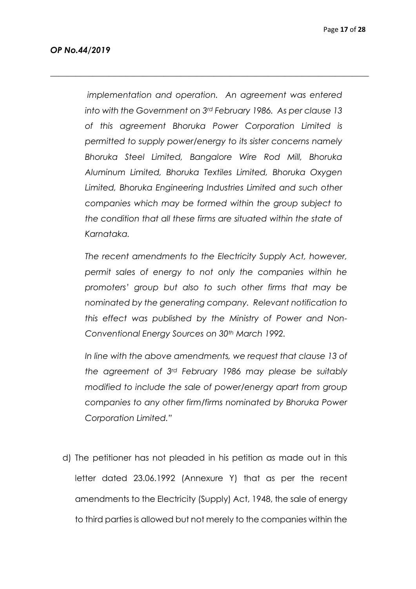*implementation and operation. An agreement was entered into with the Government on 3rd February 1986. As per clause 13 of this agreement Bhoruka Power Corporation Limited is permitted to supply power/energy to its sister concerns namely Bhoruka Steel Limited, Bangalore Wire Rod Mill, Bhoruka Aluminum Limited, Bhoruka Textiles Limited, Bhoruka Oxygen Limited, Bhoruka Engineering Industries Limited and such other companies which may be formed within the group subject to the condition that all these firms are situated within the state of Karnataka.*

*\_\_\_\_\_\_\_\_\_\_\_\_\_\_\_\_\_\_\_\_\_\_\_\_\_\_\_\_\_\_\_\_\_\_\_\_\_\_\_\_\_\_\_\_\_\_\_\_\_\_\_\_\_\_\_\_\_\_\_\_\_\_\_\_\_\_\_\_\_\_\_\_\_\_\_\_*

*The recent amendments to the Electricity Supply Act, however, permit sales of energy to not only the companies within he promoters' group but also to such other firms that may be nominated by the generating company. Relevant notification to this effect was published by the Ministry of Power and Non-Conventional Energy Sources on 30th March 1992.*

*In line with the above amendments, we request that clause 13 of the agreement of 3rd February 1986 may please be suitably modified to include the sale of power/energy apart from group companies to any other firm/firms nominated by Bhoruka Power Corporation Limited."*

d) The petitioner has not pleaded in his petition as made out in this letter dated 23.06.1992 (Annexure Y) that as per the recent amendments to the Electricity (Supply) Act, 1948, the sale of energy to third parties is allowed but not merely to the companies within the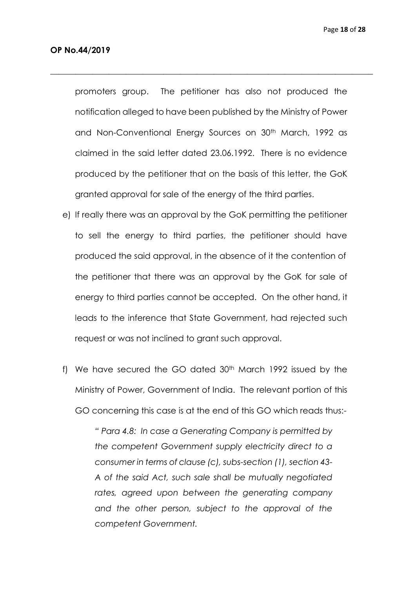promoters group. The petitioner has also not produced the notification alleged to have been published by the Ministry of Power and Non-Conventional Energy Sources on 30<sup>th</sup> March, 1992 as claimed in the said letter dated 23.06.1992. There is no evidence produced by the petitioner that on the basis of this letter, the GoK granted approval for sale of the energy of the third parties.

\_\_\_\_\_\_\_\_\_\_\_\_\_\_\_\_\_\_\_\_\_\_\_\_\_\_\_\_\_\_\_\_\_\_\_\_\_\_\_\_\_\_\_\_\_\_\_\_\_\_\_\_\_\_\_\_\_\_\_\_\_\_\_\_\_\_\_\_\_\_\_\_\_\_\_\_\_

- e) If really there was an approval by the GoK permitting the petitioner to sell the energy to third parties, the petitioner should have produced the said approval, in the absence of it the contention of the petitioner that there was an approval by the GoK for sale of energy to third parties cannot be accepted. On the other hand, it leads to the inference that State Government, had rejected such request or was not inclined to grant such approval.
- f) We have secured the GO dated  $30<sup>th</sup>$  March 1992 issued by the Ministry of Power, Government of India. The relevant portion of this GO concerning this case is at the end of this GO which reads thus:-

*" Para 4.8: In case a Generating Company is permitted by the competent Government supply electricity direct to a consumer in terms of clause (c), subs-section (1), section 43- A of the said Act, such sale shall be mutually negotiated rates, agreed upon between the generating company and the other person, subject to the approval of the competent Government.*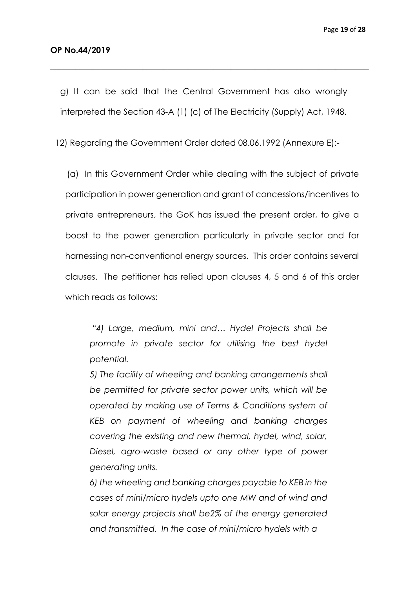g) It can be said that the Central Government has also wrongly interpreted the Section 43-A (1) (c) of The Electricity (Supply) Act, 1948.

*\_\_\_\_\_\_\_\_\_\_\_\_\_\_\_\_\_\_\_\_\_\_\_\_\_\_\_\_\_\_\_\_\_\_\_\_\_\_\_\_\_\_\_\_\_\_\_\_\_\_\_\_\_\_\_\_\_\_\_\_\_\_\_\_\_\_\_\_\_\_\_\_\_\_\_\_*

12) Regarding the Government Order dated 08.06.1992 (Annexure E):-

 (a) In this Government Order while dealing with the subject of private participation in power generation and grant of concessions/incentives to private entrepreneurs, the GoK has issued the present order, to give a boost to the power generation particularly in private sector and for harnessing non-conventional energy sources. This order contains several clauses. The petitioner has relied upon clauses 4, 5 and 6 of this order which reads as follows:

*"4) Large, medium, mini and… Hydel Projects shall be promote in private sector for utilising the best hydel potential.*

*5) The facility of wheeling and banking arrangements shall be permitted for private sector power units, which will be operated by making use of Terms & Conditions system of KEB on payment of wheeling and banking charges covering the existing and new thermal, hydel, wind, solar, Diesel, agro-waste based or any other type of power generating units.*

*6) the wheeling and banking charges payable to KEB in the cases of mini/micro hydels upto one MW and of wind and solar energy projects shall be2% of the energy generated and transmitted. In the case of mini/micro hydels with a*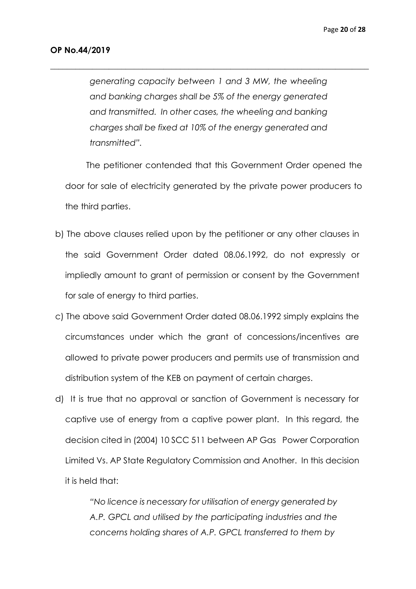*generating capacity between 1 and 3 MW, the wheeling and banking charges shall be 5% of the energy generated and transmitted. In other cases, the wheeling and banking charges shall be fixed at 10% of the energy generated and transmitted".*

*\_\_\_\_\_\_\_\_\_\_\_\_\_\_\_\_\_\_\_\_\_\_\_\_\_\_\_\_\_\_\_\_\_\_\_\_\_\_\_\_\_\_\_\_\_\_\_\_\_\_\_\_\_\_\_\_\_\_\_\_\_\_\_\_\_\_\_\_\_\_\_\_\_\_\_\_*

 The petitioner contended that this Government Order opened the door for sale of electricity generated by the private power producers to the third parties.

- b) The above clauses relied upon by the petitioner or any other clauses in the said Government Order dated 08.06.1992, do not expressly or impliedly amount to grant of permission or consent by the Government for sale of energy to third parties.
- c) The above said Government Order dated 08.06.1992 simply explains the circumstances under which the grant of concessions/incentives are allowed to private power producers and permits use of transmission and distribution system of the KEB on payment of certain charges.
- d) It is true that no approval or sanction of Government is necessary for captive use of energy from a captive power plant. In this regard, the decision cited in (2004) 10 SCC 511 between AP Gas Power Corporation Limited Vs. AP State Regulatory Commission and Another. In this decision it is held that:

*"No licence is necessary for utilisation of energy generated by A.P. GPCL and utilised by the participating industries and the concerns holding shares of A.P. GPCL transferred to them by*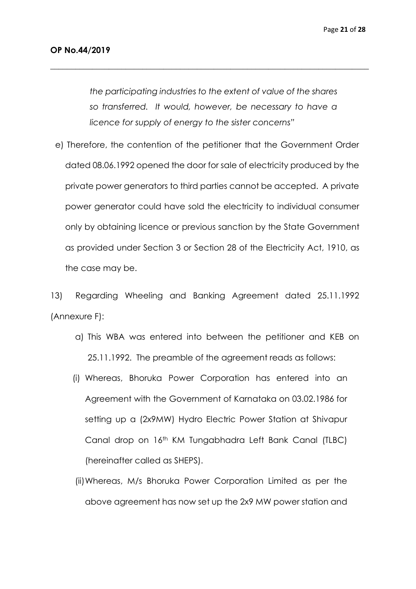*the participating industries to the extent of value of the shares so transferred. It would, however, be necessary to have a licence for supply of energy to the sister concerns"*

*\_\_\_\_\_\_\_\_\_\_\_\_\_\_\_\_\_\_\_\_\_\_\_\_\_\_\_\_\_\_\_\_\_\_\_\_\_\_\_\_\_\_\_\_\_\_\_\_\_\_\_\_\_\_\_\_\_\_\_\_\_\_\_\_\_\_\_\_\_\_\_\_\_\_\_\_*

e) Therefore, the contention of the petitioner that the Government Order dated 08.06.1992 opened the door for sale of electricity produced by the private power generators to third parties cannot be accepted. A private power generator could have sold the electricity to individual consumer only by obtaining licence or previous sanction by the State Government as provided under Section 3 or Section 28 of the Electricity Act, 1910, as the case may be.

13) Regarding Wheeling and Banking Agreement dated 25.11.1992 (Annexure F):

- a) This WBA was entered into between the petitioner and KEB on 25.11.1992. The preamble of the agreement reads as follows:
- (i) Whereas, Bhoruka Power Corporation has entered into an Agreement with the Government of Karnataka on 03.02.1986 for setting up a (2x9MW) Hydro Electric Power Station at Shivapur Canal drop on 16th KM Tungabhadra Left Bank Canal (TLBC) (hereinafter called as SHEPS).
- (ii)Whereas, M/s Bhoruka Power Corporation Limited as per the above agreement has now set up the 2x9 MW power station and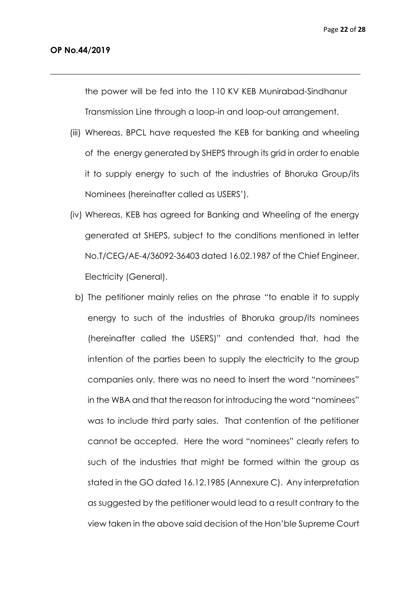the power will be fed into the 110 KV KEB Munirabad-Sindhanur Transmission Line through a loop-in and loop-out arrangement.

 $\_$  . The contribution of the contribution of  $\mathcal{L}_\mathcal{A}$  ,  $\mathcal{L}_\mathcal{A}$  ,  $\mathcal{L}_\mathcal{A}$  ,  $\mathcal{L}_\mathcal{A}$  ,  $\mathcal{L}_\mathcal{A}$  ,  $\mathcal{L}_\mathcal{A}$  ,  $\mathcal{L}_\mathcal{A}$  ,  $\mathcal{L}_\mathcal{A}$  ,  $\mathcal{L}_\mathcal{A}$  ,  $\mathcal{L}_\mathcal{A}$  ,  $\mathcal{$ 

- (iii) Whereas, BPCL have requested the KEB for banking and wheeling of the energy generated by SHEPS through its grid in order to enable it to supply energy to such of the industries of Bhoruka Group/its Nominees (hereinafter called as USERS').
- (iv) Whereas, KEB has agreed for Banking and Wheeling of the energy generated at SHEPS, subject to the conditions mentioned in letter No.T/CEG/AE-4/36092-36403 dated 16.02.1987 of the Chief Engineer, Electricity (General).
	- b) The petitioner mainly relies on the phrase "to enable it to supply energy to such of the industries of Bhoruka group/its nominees (hereinafter called the USERS)" and contended that, had the intention of the parties been to supply the electricity to the group companies only, there was no need to insert the word "nominees" in the WBA and that the reason for introducing the word "nominees" was to include third party sales. That contention of the petitioner cannot be accepted. Here the word "nominees" clearly refers to such of the industries that might be formed within the group as stated in the GO dated 16.12.1985 (Annexure C). Any interpretation as suggested by the petitioner would lead to a result contrary to the view taken in the above said decision of the Hon'ble Supreme Court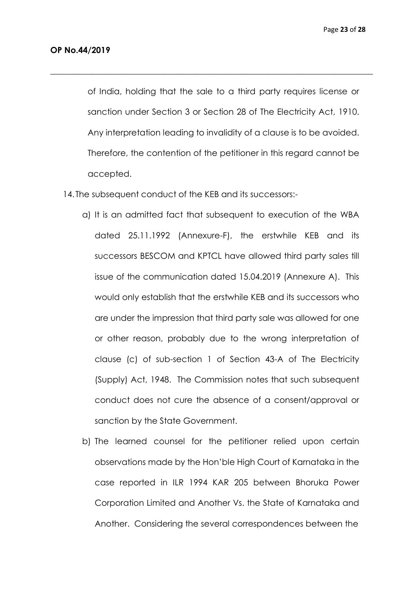of India, holding that the sale to a third party requires license or sanction under Section 3 or Section 28 of The Electricity Act, 1910. Any interpretation leading to invalidity of a clause is to be avoided. Therefore, the contention of the petitioner in this regard cannot be accepted.

\_\_\_\_\_\_\_\_\_\_\_\_\_\_\_\_\_\_\_\_\_\_\_\_\_\_\_\_\_\_\_\_\_\_\_\_\_\_\_\_\_\_\_\_\_\_\_\_\_\_\_\_\_\_\_\_\_\_\_\_\_\_\_\_\_\_\_\_\_\_\_\_\_\_\_\_\_

14. The subsequent conduct of the KEB and its successors:-

- a) It is an admitted fact that subsequent to execution of the WBA dated 25.11.1992 (Annexure-F), the erstwhile KEB and its successors BESCOM and KPTCL have allowed third party sales till issue of the communication dated 15.04.2019 (Annexure A). This would only establish that the erstwhile KEB and its successors who are under the impression that third party sale was allowed for one or other reason, probably due to the wrong interpretation of clause (c) of sub-section 1 of Section 43-A of The Electricity (Supply) Act, 1948. The Commission notes that such subsequent conduct does not cure the absence of a consent/approval or sanction by the State Government.
- b) The learned counsel for the petitioner relied upon certain observations made by the Hon'ble High Court of Karnataka in the case reported in ILR 1994 KAR 205 between Bhoruka Power Corporation Limited and Another Vs. the State of Karnataka and Another. Considering the several correspondences between the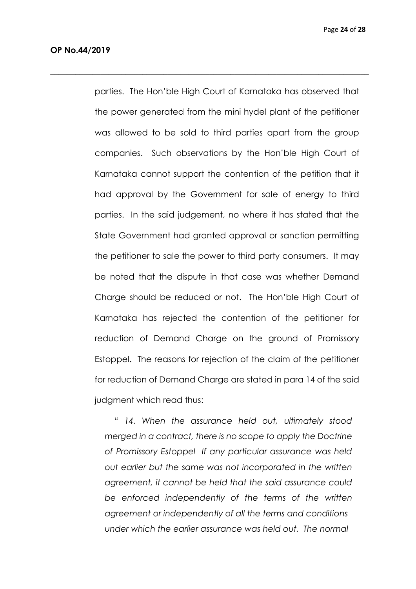parties. The Hon'ble High Court of Karnataka has observed that the power generated from the mini hydel plant of the petitioner was allowed to be sold to third parties apart from the group companies. Such observations by the Hon'ble High Court of Karnataka cannot support the contention of the petition that it had approval by the Government for sale of energy to third parties. In the said judgement, no where it has stated that the State Government had granted approval or sanction permitting the petitioner to sale the power to third party consumers. It may be noted that the dispute in that case was whether Demand Charge should be reduced or not. The Hon'ble High Court of Karnataka has rejected the contention of the petitioner for reduction of Demand Charge on the ground of Promissory Estoppel. The reasons for rejection of the claim of the petitioner for reduction of Demand Charge are stated in para 14 of the said judgment which read thus:

\_\_\_\_\_\_\_\_\_\_\_\_\_\_\_\_\_\_\_\_\_\_\_\_\_\_\_\_\_\_\_\_\_\_\_\_\_\_\_\_\_\_\_\_\_\_\_\_\_\_\_\_\_\_\_\_\_\_\_\_\_\_\_\_\_\_\_\_\_\_\_\_\_\_\_\_

 *" 14. When the assurance held out, ultimately stood merged in a contract, there is no scope to apply the Doctrine of Promissory Estoppel If any particular assurance was held out earlier but the same was not incorporated in the written agreement, it cannot be held that the said assurance could be enforced independently of the terms of the written agreement or independently of all the terms and conditions under which the earlier assurance was held out. The normal*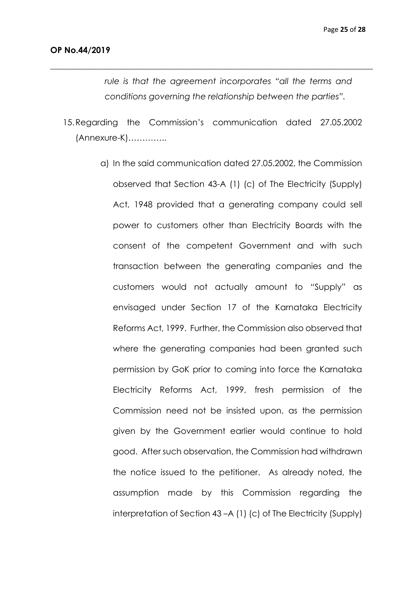*rule is that the agreement incorporates "all the terms and conditions governing the relationship between the parties".*

15.Regarding the Commission's communication dated 27.05.2002 (Annexure-K)…………..

*\_\_\_\_\_\_\_\_\_\_\_\_\_\_\_\_\_\_\_\_\_\_\_\_\_\_\_\_\_\_\_\_\_\_\_\_\_\_\_\_\_\_\_\_\_\_\_\_\_\_\_\_\_\_\_\_\_\_\_\_\_\_\_\_\_\_\_\_\_\_\_\_\_\_\_\_\_*

a) In the said communication dated 27.05.2002, the Commission observed that Section 43-A (1) (c) of The Electricity (Supply) Act, 1948 provided that a generating company could sell power to customers other than Electricity Boards with the consent of the competent Government and with such transaction between the generating companies and the customers would not actually amount to "Supply" as envisaged under Section 17 of the Karnataka Electricity Reforms Act, 1999. Further, the Commission also observed that where the generating companies had been granted such permission by GoK prior to coming into force the Karnataka Electricity Reforms Act, 1999, fresh permission of the Commission need not be insisted upon, as the permission given by the Government earlier would continue to hold good. After such observation, the Commission had withdrawn the notice issued to the petitioner. As already noted, the assumption made by this Commission regarding the interpretation of Section 43 –A (1) (c) of The Electricity (Supply)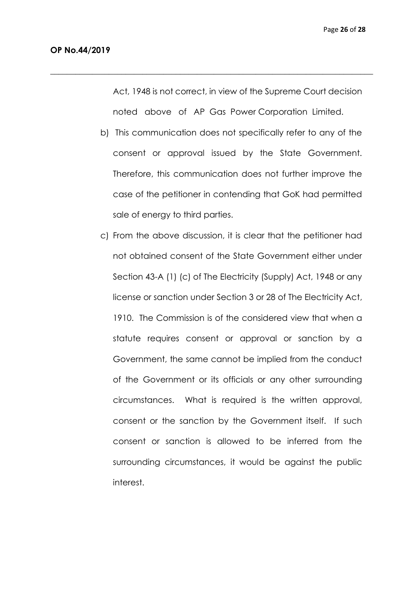Act, 1948 is not correct, in view of the Supreme Court decision noted above of AP Gas Power Corporation Limited.

\_\_\_\_\_\_\_\_\_\_\_\_\_\_\_\_\_\_\_\_\_\_\_\_\_\_\_\_\_\_\_\_\_\_\_\_\_\_\_\_\_\_\_\_\_\_\_\_\_\_\_\_\_\_\_\_\_\_\_\_\_\_\_\_\_\_\_\_\_\_\_\_\_\_\_\_\_

- b) This communication does not specifically refer to any of the consent or approval issued by the State Government. Therefore, this communication does not further improve the case of the petitioner in contending that GoK had permitted sale of energy to third parties.
- c) From the above discussion, it is clear that the petitioner had not obtained consent of the State Government either under Section 43-A (1) (c) of The Electricity (Supply) Act, 1948 or any license or sanction under Section 3 or 28 of The Electricity Act, 1910. The Commission is of the considered view that when a statute requires consent or approval or sanction by a Government, the same cannot be implied from the conduct of the Government or its officials or any other surrounding circumstances. What is required is the written approval, consent or the sanction by the Government itself. If such consent or sanction is allowed to be inferred from the surrounding circumstances, it would be against the public interest.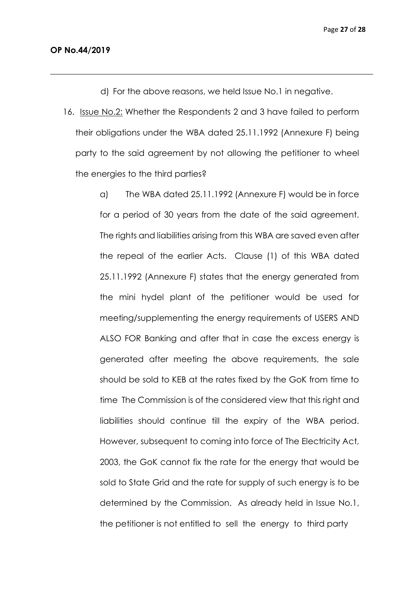d) For the above reasons, we held Issue No.1 in negative.

\_\_\_\_\_\_\_\_\_\_\_\_\_\_\_\_\_\_\_\_\_\_\_\_\_\_\_\_\_\_\_\_\_\_\_\_\_\_\_\_\_\_\_\_\_\_\_\_\_\_\_\_\_\_\_\_\_\_\_\_\_\_\_\_\_\_\_\_\_\_\_\_\_\_\_\_\_

16. Issue No.2: Whether the Respondents 2 and 3 have failed to perform their obligations under the WBA dated 25.11.1992 (Annexure F) being party to the said agreement by not allowing the petitioner to wheel the energies to the third parties?

> a) The WBA dated 25.11.1992 (Annexure F) would be in force for a period of 30 years from the date of the said agreement. The rights and liabilities arising from this WBA are saved even after the repeal of the earlier Acts. Clause (1) of this WBA dated 25.11.1992 (Annexure F) states that the energy generated from the mini hydel plant of the petitioner would be used for meeting/supplementing the energy requirements of USERS AND ALSO FOR Banking and after that in case the excess energy is generated after meeting the above requirements, the sale should be sold to KEB at the rates fixed by the GoK from time to time The Commission is of the considered view that this right and liabilities should continue till the expiry of the WBA period. However, subsequent to coming into force of The Electricity Act, 2003, the GoK cannot fix the rate for the energy that would be sold to State Grid and the rate for supply of such energy is to be determined by the Commission. As already held in Issue No.1, the petitioner is not entitled to sell the energy to third party